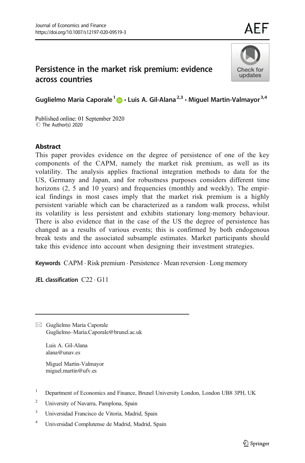# Persistence in the market risk premium: evidence across countries



AFE

Guglielmo Maria Caporale<sup>1</sup>  $\bullet$  · Luis A. Gil-Alana<sup>2,3</sup> · Miguel Martin-Valmayor<sup>3,4</sup>

Published online: 01 September 2020 C The Author(s) 2020

#### Abstract

This paper provides evidence on the degree of persistence of one of the key components of the CAPM, namely the market risk premium, as well as its volatility. The analysis applies fractional integration methods to data for the US, Germany and Japan, and for robustness purposes considers different time horizons (2, 5 and 10 years) and frequencies (monthly and weekly). The empirical findings in most cases imply that the market risk premium is a highly persistent variable which can be characterized as a random walk process, whilst its volatility is less persistent and exhibits stationary long-memory behaviour. There is also evidence that in the case of the US the degree of persistence has changed as a results of various events; this is confirmed by both endogenous break tests and the associated subsample estimates. Market participants should take this evidence into account when designing their investment strategies.

Keywords CAPM . Risk premium . Persistence . Mean reversion . Long memory

JEL classification C22 . G11

 $\boxtimes$  Guglielmo Maria Caporale Guglielmo–[Maria.Caporale@brunel.ac.uk](mailto:Guglielmo-Maria.Caporale@brunel.ac.uk)

Luis A. Gil-Alana alana@unav.es

Miguel Martin-Valmayor miguel.martin@ufv.es

- <sup>1</sup> Department of Economics and Finance, Brunel University London, London UB8 3PH, UK
- <sup>2</sup> University of Navarra, Pamplona, Spain
- <sup>3</sup> Universidad Francisco de Vitoria, Madrid, Spain
- <sup>4</sup> Universidad Complutense de Madrid, Madrid, Spain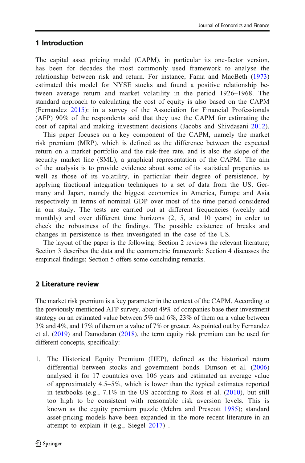### 1 Introduction

The capital asset pricing model (CAPM), in particular its one-factor version, has been for decades the most commonly used framework to analyse the relationship between risk and return. For instance, Fama and MacBeth ([1973](#page-13-0)) estimated this model for NYSE stocks and found a positive relationship between average return and market volatility in the period 1926–1968. The standard approach to calculating the cost of equity is also based on the CAPM (Fernandez [2015](#page-13-0)): in a survey of the Association for Financial Professionals (AFP) 90% of the respondents said that they use the CAPM for estimating the cost of capital and making investment decisions (Jacobs and Shivdasani [2012\)](#page-13-0).

This paper focuses on a key component of the CAPM, namely the market risk premium (MRP), which is defined as the difference between the expected return on a market portfolio and the risk-free rate, and is also the slope of the security market line (SML), a graphical representation of the CAPM. The aim of the analysis is to provide evidence about some of its statistical properties as well as those of its volatility, in particular their degree of persistence, by applying fractional integration techniques to a set of data from the US, Germany and Japan, namely the biggest economies in America, Europe and Asia respectively in terms of nominal GDP over most of the time period considered in our study. The tests are carried out at different frequencies (weekly and monthly) and over different time horizons (2, 5, and 10 years) in order to check the robustness of the findings. The possible existence of breaks and changes in persistence is then investigated in the case of the US.

The layout of the paper is the following: Section 2 reviews the relevant literature; Section 3 describes the data and the econometric framework; Section 4 discusses the empirical findings; Section 5 offers some concluding remarks.

# 2 Literature review

The market risk premium is a key parameter in the context of the CAPM. According to the previously mentioned AFP survey, about 49% of companies base their investment strategy on an estimated value between 5% and 6%, 23% of them on a value between 3% and 4%, and 17% of them on a value of 7% or greater. As pointed out by Fernandez et al. ([2019](#page-13-0)) and Damodaran ([2018](#page-13-0)), the term equity risk premium can be used for different concepts, specifically:

1. The Historical Equity Premium (HEP), defined as the historical return differential between stocks and government bonds. Dimson et al. ([2006](#page-13-0)) analysed it for 17 countries over 106 years and estimated an average value of approximately 4.5–5%, which is lower than the typical estimates reported in textbooks (e.g., 7.1% in the US according to Ross et al. ([2010](#page-13-0)), but still too high to be consistent with reasonable risk aversion levels. This is known as the equity premium puzzle (Mehra and Prescott [1985](#page-13-0)); standard asset-pricing models have been expanded in the more recent literature in an attempt to explain it (e.g., Siegel [2017\)](#page-14-0) .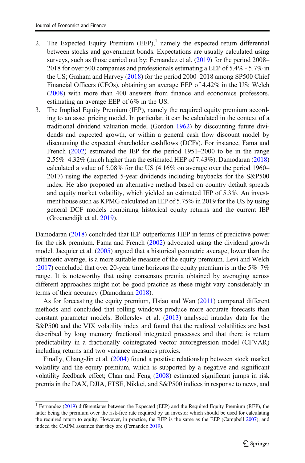- 2. The Expected Equity Premium  $(EEP)$ ,<sup>1</sup> namely the expected return differential between stocks and government bonds. Expectations are usually calculated using surveys, such as those carried out by: Fernandez et al. [\(2019\)](#page-13-0) for the period 2008– 2018 for over 500 companies and professionals estimating a EEP of 5.4% - 5.7% in the US; Graham and Harvey ([2018](#page-13-0)) for the period 2000–2018 among SP500 Chief Financial Officers (CFOs), obtaining an average EEP of 4.42% in the US; Welch ([2008\)](#page-14-0) with more than 400 answers from finance and economics professors, estimating an average EEP of 6% in the US.
- 3. The Implied Equity Premium (IEP), namely the required equity premium according to an asset pricing model. In particular, it can be calculated in the context of a traditional dividend valuation model (Gordon [1962](#page-13-0)) by discounting future dividends and expected growth, or within a general cash flow discount model by discounting the expected shareholder cashflows (DCFs). For instance, Fama and French [\(2002\)](#page-13-0) estimated the IEP for the period 1951–2000 to be in the range 2.55%–4.32% (much higher than the estimated HEP of 7.43%). Damodaran ([2018](#page-13-0)) calculated a value of 5.08% for the US (4.16% on average over the period 1960– 2017) using the expected 5-year dividends including buybacks for the S&P500 index. He also proposed an alternative method based on country default spreads and equity market volatility, which yielded an estimated IEP of 5.3%. An investment house such as KPMG calculated an IEP of 5.75% in 2019 for the US by using general DCF models combining historical equity returns and the current IEP (Groenendijk et al. [2019\)](#page-13-0).

Damodaran [\(2018\)](#page-13-0) concluded that IEP outperforms HEP in terms of predictive power for the risk premium. Fama and French [\(2002\)](#page-13-0) advocated using the dividend growth model. Jacquier et al. ([2005](#page-13-0)) argued that a historical geometric average, lower than the arithmetic average, is a more suitable measure of the equity premium. Levi and Welch  $(2017)$  concluded that over 20-year time horizons the equity premium is in the 5%–7% range. It is noteworthy that using consensus premia obtained by averaging across different approaches might not be good practice as these might vary considerably in terms of their accuracy (Damodaran [2018](#page-13-0)).

As for forecasting the equity premium, Hsiao and Wan ([2011\)](#page-13-0) compared different methods and concluded that rolling windows produce more accurate forecasts than constant parameter models. Bollerslev et al. [\(2013\)](#page-13-0) analysed intraday data for the S&P500 and the VIX volatility index and found that the realized volatilities are best described by long memory fractional integrated processes and that there is return predictability in a fractionally cointegrated vector autoregression model (CFVAR) including returns and two variance measures proxies.

Finally, Chang-Jin et al. ([2004](#page-13-0)) found a positive relationship between stock market volatility and the equity premium, which is supported by a negative and significant volatility feedback effect; Chan and Feng [\(2008\)](#page-13-0) estimated significant jumps in risk premia in the DAX, DJIA, FTSE, Nikkei, and S&P500 indices in response to news, and

<sup>&</sup>lt;sup>1</sup> Fernandez [\(2019](#page-13-0)) differentiates between the Expected (EEP) and the Required Equity Premium (REP), the latter being the premium over the risk-free rate required by an investor which should be used for calculating the required return to equity. However, in practice, the REP is the same as the EEP (Campbell [2007](#page-13-0)), and indeed the CAPM assumes that they are (Fernandez [2019](#page-13-0)).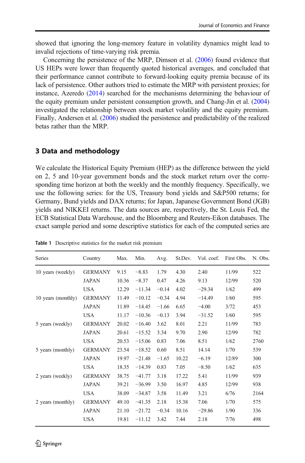<span id="page-3-0"></span>showed that ignoring the long-memory feature in volatility dynamics might lead to invalid rejections of time-varying risk premia.

Concerning the persistence of the MRP, Dimson et al. [\(2006\)](#page-13-0) found evidence that US HEPs were lower than frequently quoted historical averages, and concluded that their performance cannot contribute to forward-looking equity premia because of its lack of persistence. Other authors tried to estimate the MRP with persistent proxies; for instance, Azeredo ([2014](#page-13-0)) searched for the mechanisms determining the behaviour of the equity premium under persistent consumption growth, and Chang-Jin et al. ([2004](#page-13-0)) investigated the relationship between stock market volatility and the equity premium. Finally, Andersen et al. [\(2006\)](#page-13-0) studied the persistence and predictability of the realized betas rather than the MRP.

#### 3 Data and methodology

We calculate the Historical Equity Premium (HEP) as the difference between the yield on 2, 5 and 10-year government bonds and the stock market return over the corresponding time horizon at both the weekly and the monthly frequency. Specifically, we use the following series: for the US, Treasury bond yields and S&P500 returns; for Germany, Bund yields and DAX returns; for Japan, Japanese Government Bond (JGB) yields and NIKKEI returns. The data sources are, respectively, the St. Louis Fed, the ECB Statistical Data Warehouse, and the Bloomberg and Reuters-Eikon databases. The exact sample period and some descriptive statistics for each of the computed series are

| <b>Series</b>      | Country        | Max.  | Min.     | Avg.    | St.Dev. | Vol. coef. | First Obs. | N. Obs. |
|--------------------|----------------|-------|----------|---------|---------|------------|------------|---------|
| 10 years (weekly)  | <b>GERMANY</b> | 9.15  | $-8.83$  | 1.79    | 4.30    | 2.40       | 11/99      | 522     |
|                    | <b>JAPAN</b>   | 10.36 | $-8.37$  | 0.47    | 4.26    | 9.13       | 12/99      | 520     |
|                    | <b>USA</b>     | 12.29 | $-11.34$ | $-0.14$ | 4.02    | $-29.34$   | 1/62       | 499     |
| 10 years (monthly) | <b>GERMANY</b> | 11.49 | $-10.12$ | $-0.34$ | 4.94    | $-14.49$   | 1/60       | 595     |
|                    | <b>JAPAN</b>   | 11.89 | $-14.45$ | $-1.66$ | 6.65    | $-4.00$    | 3/72       | 453     |
|                    | <b>USA</b>     | 11.17 | $-10.36$ | $-0.13$ | 3.94    | $-31.52$   | 1/60       | 595     |
| 5 years (weekly)   | <b>GERMANY</b> | 20.02 | $-16.40$ | 3.62    | 8.01    | 2.21       | 11/99      | 783     |
|                    | <b>JAPAN</b>   | 20.61 | $-15.52$ | 3.34    | 9.70    | 2.90       | 12/99      | 782     |
|                    | <b>USA</b>     | 20.53 | $-15.06$ | 0.83    | 7.06    | 8.51       | 1/62       | 2760    |
| 5 years (monthly)  | <b>GERMANY</b> | 23.54 | $-18.52$ | 0.60    | 8.51    | 14.14      | 1/70       | 539     |
|                    | <b>JAPAN</b>   | 19.97 | $-21.48$ | $-1.65$ | 10.22   | $-6.19$    | 12/89      | 300     |
|                    | <b>USA</b>     | 18.35 | $-14.39$ | 0.83    | 7.05    | $-8.50$    | 1/62       | 635     |
| 2 years (weekly)   | <b>GERMANY</b> | 38.75 | $-41.77$ | 3.18    | 17.22   | 5.41       | 11/99      | 939     |
|                    | <b>JAPAN</b>   | 39.21 | $-36.99$ | 3.50    | 16.97   | 4.85       | 12/99      | 938     |
|                    | USA            | 38.09 | $-34.87$ | 3.58    | 11.49   | 3.21       | 6/76       | 2164    |
| 2 years (monthly)  | <b>GERMANY</b> | 49.10 | $-41.35$ | 2.18    | 15.38   | 7.06       | 1/70       | 575     |
|                    | <b>JAPAN</b>   | 21.10 | $-21.72$ | $-0.34$ | 10.16   | $-29.86$   | 1/90       | 336     |
|                    | <b>USA</b>     | 19.81 | $-11.12$ | 3.42    | 7.44    | 2.18       | 7/76       | 498     |

Table 1 Descriptive statistics for the market risk premium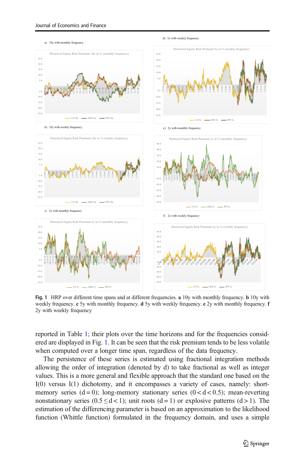a) 10y with monthly frequency



d) 5y with weekly frequency









Fig. 1 HRP over different time spans and at different frequencies. a 10y with monthly frequency. **b** 10y with weekly frequency. c 5y with monthly frequency. d 5y with weekly frequency. e 2y with monthly frequency. f 2y with weekly frequency

reported in Table [1;](#page-3-0) their plots over the time horizons and for the frequencies considered are displayed in Fig. 1. It can be seen that the risk premium tends to be less volatile when computed over a longer time span, regardless of the data frequency.

The persistence of these series is estimated using fractional integration methods allowing the order of integration (denoted by d) to take fractional as well as integer values. This is a more general and flexible approach that the standard one based on the I(0) versus I(1) dichotomy, and it encompasses a variety of cases, namely: shortmemory series  $(d=0)$ ; long-memory stationary series  $(0 < d < 0.5)$ ; mean-reverting nonstationary series  $(0.5 \le d < 1)$ ; unit roots  $(d = 1)$  or explosive patterns  $(d > 1)$ . The estimation of the differencing parameter is based on an approximation to the likelihood function (Whittle function) formulated in the frequency domain, and uses a simple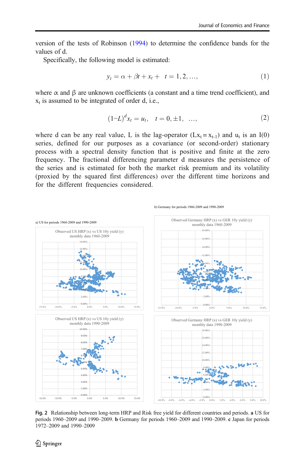<span id="page-5-0"></span>version of the tests of Robinson [\(1994\)](#page-13-0) to determine the confidence bands for the values of d.

Specifically, the following model is estimated:

$$
y_t = \alpha + \beta t + x_t + t = 1, 2, \dots,
$$
\n<sup>(1)</sup>

where  $\alpha$  and  $\beta$  are unknown coefficients (a constant and a time trend coefficient), and  $x_t$  is assumed to be integrated of order d, i.e.,

$$
(1-L)^{d}x_{t} = u_{t}, \quad t = 0, \pm 1, \ \ldots,
$$
 (2)

where d can be any real value, L is the lag-operator  $(Lx_t = x_{t-1})$  and  $u_t$  is an I(0) series, defined for our purposes as a covariance (or second-order) stationary process with a spectral density function that is positive and finite at the zero frequency. The fractional differencing parameter d measures the persistence of the series and is estimated for both the market risk premium and its volatility (proxied by the squared first differences) over the different time horizons and for the different frequencies considered.



Fig. 2 Relationship between long-term HRP and Risk free yield for different countries and periods. a US for periods 1960–2009 and 1990–2009. b Germany for periods 1960–2009 and 1990–2009. c Japan for periods 1972–2009 and 1990–2009

b) Germany for periods 1960-2009 and 1990-2009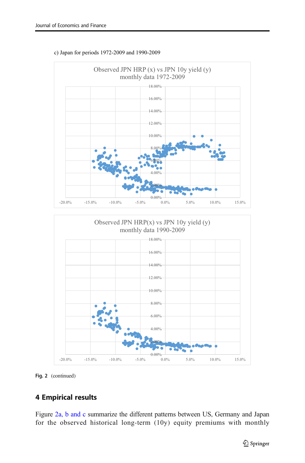

#### c) Japan for periods 1972-2009 and 1990-2009





# 4 Empirical results

Figure [2a, b and c](#page-5-0) summarize the different patterns between US, Germany and Japan for the observed historical long-term (10y) equity premiums with monthly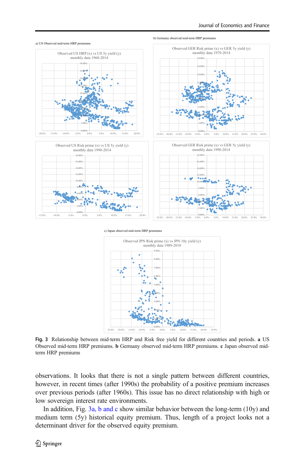

#### a) US Observed mid-term HRP premiums

b) Germany observed mid-term HRP premiums

#### c) Japan observed mid-term HRP premiums



Fig. 3 Relationship between mid-term HRP and Risk free yield for different countries and periods. a US Observed mid-term HRP premiums. b Germany observed mid-term HRP premiums. c Japan observed midterm HRP premiums

observations. It looks that there is not a single pattern between different countries, however, in recent times (after 1990s) the probability of a positive premium increases over previous periods (after 1960s). This issue has no direct relationship with high or low sovereign interest rate environments.

In addition, Fig. 3a, b and c show similar behavior between the long-term (10y) and medium term (5y) historical equity premium. Thus, length of a project looks not a determinant driver for the observed equity premium.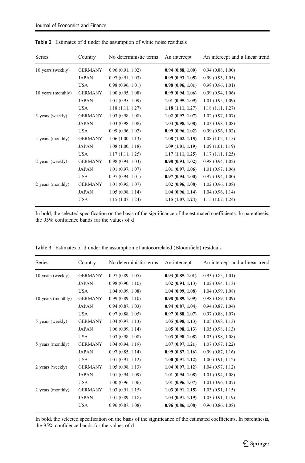| Series             | Country        | No deterministic terms | An intercept     | An intercept and a linear trend |
|--------------------|----------------|------------------------|------------------|---------------------------------|
| 10 years (weekly)  | <b>GERMANY</b> | 0.96(0.91, 1.02)       | 0.94(0.88, 1.00) | 0.94(0.88, 1.00)                |
|                    | <b>JAPAN</b>   | 0.97(0.91, 1.03)       | 0.99(0.93, 1.05) | 0.99(0.93, 1.05)                |
|                    | <b>USA</b>     | 0.98(0.96, 1.01)       | 0.98(0.96, 1.01) | 0.98(0.96, 1.01)                |
| 10 years (monthly) | <b>GERMANY</b> | 1.00(0.95, 1.08)       | 0.99(0.94, 1.06) | 0.99(0.94, 1.06)                |
|                    | <b>JAPAN</b>   | 1.01(0.95, 1.09)       | 1.01(0.95, 1.09) | 1.01(0.95, 1.09)                |
|                    | <b>USA</b>     | 1.18(1.11, 1.27)       | 1.18(1.11, 1.27) | 1.18(1.11, 1.27)                |
| 5 years (weekly)   | <b>GERMANY</b> | 1.03(0.98, 1.08)       | 1.02(0.97, 1.07) | 1.02(0.97, 1.07)                |
|                    | <b>JAPAN</b>   | 1.03(0.98, 1.08)       | 1.03(0.98, 1.08) | 1.03(0.98, 1.08)                |
|                    | <b>USA</b>     | 0.99(0.96, 1.02)       | 0.99(0.96, 1.02) | 0.99(0.96, 1.02)                |
| 5 years (monthly)  | <b>GERMANY</b> | 1.06(1.00, 1.13)       | 1.08(1.02, 1.15) | 1.08(1.02, 1.15)                |
|                    | <b>JAPAN</b>   | 1.08(1.00, 1.18)       | 1.09(1.01, 1.19) | 1.09(1.01, 1.19)                |
|                    | <b>USA</b>     | 1.17(1.11, 1.25)       | 1.17(1.11, 1.25) | 1.17(1.11, 1.25)                |
| 2 years (weekly)   | <b>GERMANY</b> | 0.98(0.94, 1.03)       | 0.98(0.94, 1.02) | 0.98(0.94, 1.02)                |
|                    | <b>JAPAN</b>   | 1.01(0.97, 1.07)       | 1.01(0.97, 1.06) | 1.01(0.97, 1.06)                |
|                    | <b>USA</b>     | 0.97(0.94, 1.01)       | 0.97(0.94, 1.00) | 0.97(0.94, 1.00)                |
| 2 years (monthly)  | <b>GERMANY</b> | 1.01(0.95, 1.07)       | 1.02(0.96, 1.08) | 1.02(0.96, 1.08)                |
|                    | <b>JAPAN</b>   | 1.05(0.98, 1.14)       | 1.04(0.96, 1.14) | 1.04(0.96, 1.14)                |
|                    | <b>USA</b>     | 1.15(1.07, 1.24)       | 1.15(1.07, 1.24) | 1.15(1.07, 1.24)                |

<span id="page-8-0"></span>Table 2 Estimates of d under the assumption of white noise residuals

In bold, the selected specification on the basis of the significance of the estimated coefficients. In parenthesis, the 95% confidence bands for the values of d

| Series             | Country        | No deterministic terms | An intercept     | An intercept and a linear trend |
|--------------------|----------------|------------------------|------------------|---------------------------------|
| 10 years (weekly)  | <b>GERMANY</b> | 0.97(0.89, 1.05)       | 0.93(0.85, 1.01) | 0.93(0.85, 1.01)                |
|                    | <b>JAPAN</b>   | 0.98(0.90, 1.10)       | 1.02(0.94, 1.13) | 1.02(0.94, 1.13)                |
|                    | <b>USA</b>     | 1.04(0.99, 1.08)       | 1.04(0.99, 1.08) | 1.04(0.99, 1.08)                |
| 10 years (monthly) | <b>GERMANY</b> | 0.99(0.89, 1.10)       | 0.98(0.89, 1.09) | 0.98(0.89, 1.09)                |
|                    | <b>JAPAN</b>   | 0.94(0.87, 1.03)       | 0.94(0.87, 1.04) | 0.94(0.87, 1.04)                |
|                    | <b>USA</b>     | 0.97(0.88, 1.05)       | 0.97(0.88, 1.07) | 0.97(0.88, 1.07)                |
| 5 years (weekly)   | <b>GERMANY</b> | 1.04(0.97, 1.13)       | 1.05(0.98, 1.13) | 1.05(0.98, 1.13)                |
|                    | <b>JAPAN</b>   | 1.06(0.99, 1.14)       | 1.05(0.98, 1.13) | 1.05(0.98, 1.13)                |
|                    | <b>USA</b>     | 1.03(0.98, 1.08)       | 1.03(0.98, 1.08) | 1.03(0.98, 1.08)                |
| 5 years (monthly)  | <b>GERMANY</b> | 1.04(0.94, 1.19)       | 1.07(0.97, 1.21) | 1.07(0.97, 1.22)                |
|                    | <b>JAPAN</b>   | 0.97(0.85, 1.14)       | 0.99(0.87, 1.16) | 0.99(0.87, 1.16)                |
|                    | <b>USA</b>     | 1.01(0.91, 1.12)       | 1.00(0.91, 1.12) | 1.00(0.91, 1.12)                |
| 2 years (weekly)   | <b>GERMANY</b> | 1.05(0.98, 1.13)       | 1.04(0.97, 1.12) | 1.04(0.97, 1.12)                |
|                    | <b>JAPAN</b>   | 1.01(0.94, 1.09)       | 1.01(0.94, 1.08) | 1.01(0.94, 1.08)                |
|                    | <b>USA</b>     | 1.00(0.96, 1.06)       | 1.01(0.96, 1.07) | 1.01(0.96, 1.07)                |
| 2 years (monthly)  | <b>GERMANY</b> | 1.03(0.91, 1.15)       | 1.03(0.91, 1.15) | 1.03(0.91, 1.15)                |
|                    | <b>JAPAN</b>   | 1.01(0.89, 1.18)       | 1.03(0.91, 1.19) | 1.03(0.91, 1.19)                |
|                    | <b>USA</b>     | 0.96(0.87, 1.08)       | 0.96(0.86, 1.08) | 0.96(0.86, 1.08)                |
|                    |                |                        |                  |                                 |

Table 3 Estimates of d under the assumption of autocorrelated (Bloomfield) residuals

In bold, the selected specification on the basis of the significance of the estimated coefficients. In parenthesis, the 95% confidence bands for the values of d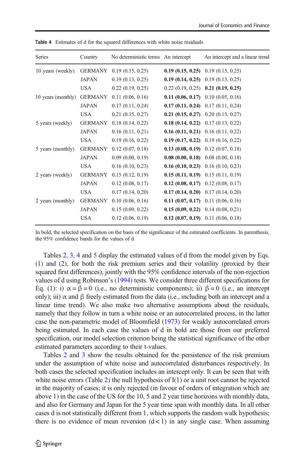| <b>Series</b>      | Country        | No deterministic terms An intercept | An intercept and a linear trend             |
|--------------------|----------------|-------------------------------------|---------------------------------------------|
| 10 years (weekly)  | <b>GERMANY</b> | 0.19(0.15, 0.25)                    | <b>0.19 (0.15, 0.25)</b> 0.19 (0.15, 0.25)  |
|                    | <b>JAPAN</b>   | 0.19(0.13, 0.25)                    | <b>0.19 (0.14, 0.25)</b> 0.19 (0.13, 0.25)  |
|                    | <b>USA</b>     | 0.22(0.19, 0.25)                    | $0.22$ $(0.19, 0.25)$ $0.21$ $(0.19, 0.25)$ |
| 10 years (monthly) | GERMANY        | 0.11(0.06, 0.16)                    | <b>0.11 (0.06, 0.17)</b> 0.10 (0.05, 0.16)  |
|                    | <b>JAPAN</b>   | 0.17(0.11, 0.24)                    | <b>0.17 (0.11, 0.24)</b> 0.17 (0.11, 0.24)  |
|                    | <b>USA</b>     | 0.21(0.15, 0.27)                    | 0.21 (0.15, 0.27) 0.20 (0.15, 0.27)         |
| 5 years (weekly)   | <b>GERMANY</b> | 0.18(0.14, 0.22)                    | <b>0.18 (0.14, 0.22)</b> 0.17 (0.13, 0.22)  |
|                    | <b>JAPAN</b>   | 0.16(0.11, 0.21)                    | <b>0.16 (0.11, 0.21)</b> 0.16 (0.11, 0.22)  |
|                    | <b>USA</b>     | 0.19(0.16, 0.22)                    | <b>0.19 (0.17, 0.22)</b> 0.19 (0.16, 0.22)  |
| 5 years (monthly)  | GERMANY        | 0.12(0.07, 0.18)                    | <b>0.13 (0.08, 0.19)</b> 0.12 (0.07, 0.18)  |
|                    | <b>JAPAN</b>   | 0.09(0.00, 0.19)                    | <b>0.08 (0.00, 0.18)</b> 0.08 (0.00, 0.18)  |
|                    | <b>USA</b>     | 0.16(0.10, 0.23)                    | <b>0.16 (0.10, 0.23)</b> 0.16 (0.10, 0.23)  |
| 2 years (weekly)   | <b>GERMANY</b> | 0.15(0.12, 0.19)                    | <b>0.15 (0.11, 0.19)</b> 0.15 (0.11, 0.19)  |
|                    | <b>JAPAN</b>   | 0.12(0.08, 0.17)                    | <b>0.12 (0.08, 0.17)</b> 0.12 (0.08, 0.17)  |
|                    | <b>USA</b>     | 0.17(0.14, 0.20)                    | <b>0.17 (0.14, 0.20)</b> 0.17 (0.14, 0.20)  |
| 2 years (monthly)  | <b>GERMANY</b> | 0.10(0.06, 0.16)                    | <b>0.11 (0.07, 0.17)</b> 0.11 (0.06, 0.16)  |
|                    | <b>JAPAN</b>   | 0.15(0.09, 0.22)                    | <b>0.15 (0.09, 0.22)</b> 0.14 (0.08, 0.21)  |
|                    | USA            | 0.12(0.06, 0.19)                    | <b>0.12 (0.07, 0.19)</b> 0.11 (0.06, 0.18)  |
|                    |                |                                     |                                             |

<span id="page-9-0"></span>Table 4 Estimates of d for the squared differences with white noise residuals

In bold, the selected specification on the basis of the significance of the estimated coefficients. In parenthesis, the 95% confidence bands for the values of d

Tables [2,](#page-8-0) [3,](#page-8-0) 4 and [5](#page-10-0) display the estimated values of d from the model given by Eqs. [\(1](#page-5-0)) and [\(2\)](#page-5-0), for both the risk premium series and their volatility (proxied by their squared first differences), jointly with the 95% confidence intervals of the non-rejection values of d using Robinson's [\(1994\)](#page-13-0) tests. We consider three different specifications for Eq. [\(1](#page-5-0)): i)  $\alpha = \beta = 0$  (i.e., no deterministic components); ii)  $\beta = 0$  (i.e., an intercept only); iii)  $\alpha$  and  $\beta$  freely estimated from the data (i.e., including both an intercept and a linear time trend). We also make two alternative assumptions about the residuals, namely that they follow in turn a white noise or an autocorrelated process, in the latter case the non-parametric model of Bloomfield ([1973](#page-13-0)) for weakly autocorrelated errors being estimated. In each case the values of d in bold are those from our preferred specification, our model selection criterion being the statistical significance of the other estimated parameters according to their t-values.

Tables [2](#page-8-0) and [3](#page-8-0) show the results obtained for the persistence of the risk premium under the assumption of white noise and autocorrelated disturbances respectively. In both cases the selected specification includes an intercept only. It can be seen that with white noise errors (Table [2\)](#page-8-0) the null hypothesis of  $I(1)$  or a unit root cannot be rejected in the majority of cases; it is only rejected (in favour of orders of integration which are above 1) in the case of the US for the 10, 5 and 2 year time horizons with monthly data, and also for Germany and Japan for the 5 year time span with monthly data. In all other cases d is not statistically different from 1, which supports the random walk hypothesis; there is no evidence of mean reversion  $(d < 1)$  in any single case. When assuming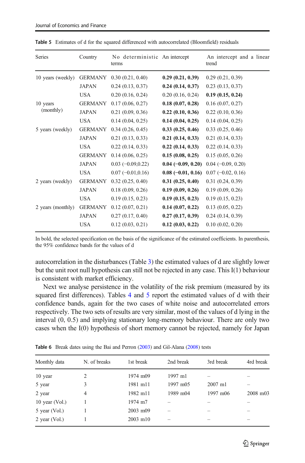| Series            | Country        | No deterministic An intercept<br>terms |                      | An intercept and a linear<br>trend |
|-------------------|----------------|----------------------------------------|----------------------|------------------------------------|
| 10 years (weekly) | <b>GERMANY</b> | 0.30(0.21, 0.40)                       | 0.29(0.21, 0.39)     | 0.29(0.21, 0.39)                   |
|                   | <b>JAPAN</b>   | 0.24(0.13, 0.37)                       | 0.24(0.14, 0.37)     | 0.23(0.13, 0.37)                   |
|                   | USA            | 0.20(0.16, 0.24)                       | 0.20(0.16, 0.24)     | 0.19(0.15, 0.24)                   |
| 10 years          | <b>GERMANY</b> | 0.17(0.06, 0.27)                       | 0.18(0.07, 0.28)     | 0.16(0.07, 0.27)                   |
| (monthly)         | <b>JAPAN</b>   | 0.21(0.09, 0.36)                       | 0.22(0.10, 0.36)     | 0.22(0.10, 0.36)                   |
|                   | <b>USA</b>     | 0.14(0.04, 0.25)                       | 0.14(0.04, 0.25)     | 0.14(0.04, 0.25)                   |
| 5 years (weekly)  | <b>GERMANY</b> | 0.34(0.26, 0.45)                       | 0.33(0.25, 0.46)     | 0.33(0.25, 0.46)                   |
|                   | <b>JAPAN</b>   | 0.21(0.13, 0.33)                       | 0.21(0.14, 0.33)     | 0.21(0.14, 0.33)                   |
|                   | USA            | 0.22(0.14, 0.33)                       | 0.22(0.14, 0.33)     | 0.22(0.14, 0.33)                   |
|                   | <b>GERMANY</b> | 0.14(0.06, 0.25)                       | 0.15(0.08, 0.25)     | 0.15(0.05, 0.26)                   |
|                   | <b>JAPAN</b>   | $0.03(-0.09, 0.22)$                    | $0.04 (-0.09, 0.20)$ | $0.04(-0.09, 0.20)$                |
|                   | <b>USA</b>     | $0.07 (-0.01, 0.16)$                   | $0.08$ (-0.01, 0.16) | $0.07 (-0.02, 0.16)$               |
| 2 years (weekly)  | <b>GERMANY</b> | 0.32(0.25, 0.40)                       | 0.31(0.25, 0.40)     | 0.31(0.24, 0.39)                   |
|                   | <b>JAPAN</b>   | 0.18(0.09, 0.26)                       | 0.19(0.09, 0.26)     | 0.19(0.09, 0.26)                   |
|                   | <b>USA</b>     | 0.19(0.15, 0.23)                       | 0.19(0.15, 0.23)     | 0.19(0.15, 0.23)                   |
| 2 years (monthly) | <b>GERMANY</b> | 0.12(0.07, 0.21)                       | 0.14(0.07, 0.22)     | 0.13(0.05, 0.22)                   |
|                   | <b>JAPAN</b>   | 0.27(0.17, 0.40)                       | 0.27(0.17, 0.39)     | 0.24(0.14, 0.39)                   |
|                   | <b>USA</b>     | 0.12(0.03, 0.21)                       | 0.12(0.03, 0.22)     | 0.10(0.02, 0.20)                   |

<span id="page-10-0"></span>Table 5 Estimates of d for the squared differenced with autocorrelated (Bloomfield) residuals

In bold, the selected specification on the basis of the significance of the estimated coefficients. In parenthesis, the 95% confidence bands for the values of d

autocorrelation in the disturbances (Table [3](#page-8-0)) the estimated values of d are slightly lower but the unit root null hypothesis can still not be rejected in any case. This I(1) behaviour is consistent with market efficiency.

Next we analyse persistence in the volatility of the risk premium (measured by its squared first differences). Tables [4](#page-9-0) and 5 report the estimated values of d with their confidence bands, again for the two cases of white noise and autocorrelated errors respectively. The two sets of results are very similar, most of the values of d lying in the interval (0, 0.5) and implying stationary long-memory behaviour. There are only two cases when the I(0) hypothesis of short memory cannot be rejected, namely for Japan

| Monthly data     | N. of breaks | 1st break | 2nd break | 3rd break | 4rd break |
|------------------|--------------|-----------|-----------|-----------|-----------|
| 10 year          | 2            | 1974 m09  | $1997$ m1 |           |           |
| 5 year           | 3            | 1981 m11  | 1997 m05  | 2007 ml   |           |
| 2 year           | 4            | 1982 m11  | 1989 m04  | 1997 m06  | 2008 m03  |
| 10 year $(Vol.)$ |              | 1974 m7   |           | -         |           |
| $5$ year (Vol.)  |              | 2003 m09  |           | -         |           |
| $2$ year (Vol.)  |              | 2003 m10  |           | -         |           |
|                  |              |           |           |           |           |

Table 6 Break dates using the Bai and Perron [\(2003](#page-13-0)) and Gil-Alana [\(2008\)](#page-13-0) tests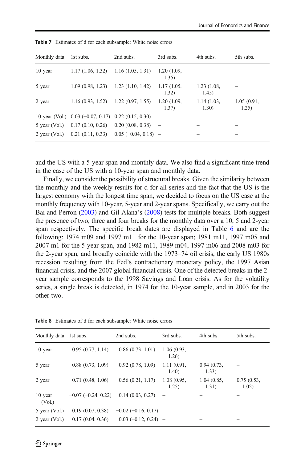| Monthly data  | 1st subs.                                                  | 2nd subs.        | 3rd subs.                       | 4th subs.           | 5th subs.                |
|---------------|------------------------------------------------------------|------------------|---------------------------------|---------------------|--------------------------|
| 10 year       | $1.17(1.06, 1.32)$ $1.16(1.05, 1.31)$                      |                  | 1.20(1.09,<br>1.35)             |                     |                          |
| 5 year        | 1.09(0.98, 1.23)                                           | 1.23(1.10, 1.42) | 1.17(1.05,<br>1.32)             | 1.23(1.08,<br>1.45) |                          |
| 2 year        | 1.16(0.93, 1.52)                                           | 1.22(0.97, 1.55) | 1.20(1.09,<br>1.37)             | 1.14(1.03,<br>1.30) | 1.05(0.91,<br>1.25)      |
|               | 10 year (Vol.) $0.03$ (-0.07, 0.17) 0.22 (0.15, 0.30)      |                  | $\overline{\phantom{m}}$        |                     |                          |
| 5 year (Vol.) | $0.17(0.10, 0.26)$ $0.20(0.08, 0.38)$                      |                  | $\hspace{0.1mm}-\hspace{0.1mm}$ |                     |                          |
|               | 2 year (Vol.) 0.21 (0.11, 0.33) 0.05 ( $-0.04$ , 0.18) $-$ |                  |                                 |                     | $\overline{\phantom{a}}$ |

<span id="page-11-0"></span>Table 7 Estimates of d for each subsample: White noise errors

and the US with a 5-year span and monthly data. We also find a significant time trend in the case of the US with a 10-year span and monthly data.

Finally, we consider the possibility of structural breaks. Given the similarity between the monthly and the weekly results for d for all series and the fact that the US is the largest economy with the longest time span, we decided to focus on the US case at the monthly frequency with 10-year, 5-year and 2-year spans. Specifically, we carry out the Bai and Perron ([2003](#page-13-0)) and Gil-Alana's [\(2008\)](#page-13-0) tests for multiple breaks. Both suggest the presence of two, three and four breaks for the monthly data over a 10, 5 and 2-year span respectively. The specific break dates are displayed in Table [6](#page-10-0) and are the following: 1974 m09 and 1997 m11 for the 10-year span; 1981 m11, 1997 m05 and 2007 m1 for the 5-year span, and 1982 m11, 1989 m04, 1997 m06 and 2008 m03 for the 2-year span, and broadly coincide with the 1973–74 oil crisis, the early US 1980s recession resulting from the Fed's contractionary monetary policy, the 1997 Asian financial crisis, and the 2007 global financial crisis. One of the detected breaks in the 2 year sample corresponds to the 1998 Savings and Loan crisis. As for the volatility series, a single break is detected, in 1974 for the 10-year sample, and in 2003 for the other two.

| Monthly data 1st subs. |                      | 2nd subs.               | 3rd subs.            | 4th subs.            | 5th subs.           |
|------------------------|----------------------|-------------------------|----------------------|----------------------|---------------------|
| 10 year                | 0.95(0.77, 1.14)     | 0.86(0.73, 1.01)        | 1.06(0.93,<br>1.26)  |                      |                     |
| 5 year                 | 0.88(0.73, 1.09)     | 0.92(0.78, 1.09)        | 1.11(0.91,<br>1.40)  | 0.94(0.73,<br>1.33)  |                     |
| 2 year                 | 0.71(0.48, 1.06)     | 0.56(0.21, 1.17)        | 1.08 (0.95,<br>1.25) | 1.04 (0.85,<br>1.31) | 0.75(0.53,<br>1.02) |
| 10 year<br>(Vol.)      | $-0.07(-0.24, 0.22)$ | 0.14(0.03, 0.27)        |                      |                      |                     |
| 5 year (Vol.)          | 0.19(0.07, 0.38)     | $-0.02$ (-0.16, 0.17) - |                      |                      |                     |
| 2 year $(Vol.)$        | 0.17(0.04, 0.36)     | $0.03(-0.12, 0.24)$ –   |                      |                      |                     |

Table 8 Estimates of d for each subsample: White noise errors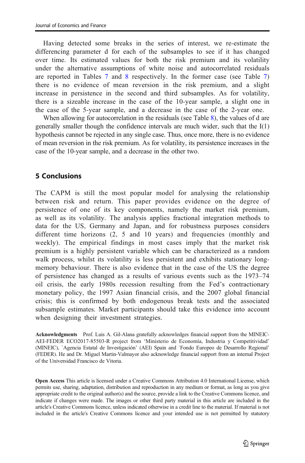Having detected some breaks in the series of interest, we re-estimate the differencing parameter d for each of the subsamples to see if it has changed over time. Its estimated values for both the risk premium and its volatility under the alternative assumptions of white noise and autocorrelated residuals are reported in Tables [7](#page-11-0) and [8](#page-11-0) respectively. In the former case (see Table [7](#page-11-0)) there is no evidence of mean reversion in the risk premium, and a slight increase in persistence in the second and third subsamples. As for volatility, there is a sizeable increase in the case of the 10-year sample, a slight one in the case of the 5-year sample, and a decrease in the case of the 2-year one.

When allowing for autocorrelation in the residuals (see Table [8](#page-11-0)), the values of d are generally smaller though the confidence intervals are much wider, such that the I(1) hypothesis cannot be rejected in any single case. Thus, once more, there is no evidence of mean reversion in the risk premium. As for volatility, its persistence increases in the case of the 10-year sample, and a decrease in the other two.

# 5 Conclusions

The CAPM is still the most popular model for analysing the relationship between risk and return. This paper provides evidence on the degree of persistence of one of its key components, namely the market risk premium, as well as its volatility. The analysis applies fractional integration methods to data for the US, Germany and Japan, and for robustness purposes considers different time horizons (2, 5 and 10 years) and frequencies (monthly and weekly). The empirical findings in most cases imply that the market risk premium is a highly persistent variable which can be characterized as a random walk process, whilst its volatility is less persistent and exhibits stationary longmemory behaviour. There is also evidence that in the case of the US the degree of persistence has changed as a results of various events such as the 1973–74 oil crisis, the early 1980s recession resulting from the Fed's contractionary monetary policy, the 1997 Asian financial crisis, and the 2007 global financial crisis; this is confirmed by both endogenous break tests and the associated subsample estimates. Market participants should take this evidence into account when designing their investment strategies.

Acknowledgments Prof. Luis A. Gil-Alana gratefully acknowledges financial support from the MINEIC-AEI-FEDER ECO2017-85503-R project from 'Ministerio de Economía, Industria y Competitividad' (MINEIC), `Agencia Estatal de Investigación' (AEI) Spain and `Fondo Europeo de Desarrollo Regional' (FEDER). He and Dr. Miguel Martin-Valmayor also acknowledge financial support from an internal Project of the Universidad Francisco de Vitoria.

Open Access This article is licensed under a Creative Commons Attribution 4.0 International License, which permits use, sharing, adaptation, distribution and reproduction in any medium or format, as long as you give appropriate credit to the original author(s) and the source, provide a link to the Creative Commons licence, and indicate if changes were made. The images or other third party material in this article are included in the article's Creative Commons licence, unless indicated otherwise in a credit line to the material. If material is not included in the article's Creative Commons licence and your intended use is not permitted by statutory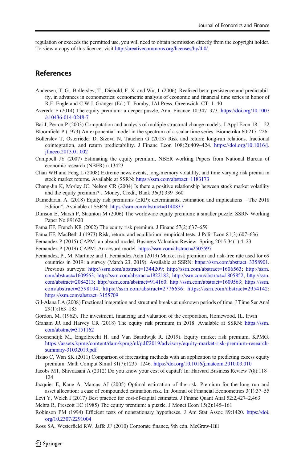<span id="page-13-0"></span>regulation or exceeds the permitted use, you will need to obtain permission directly from the copyright holder. To view a copy of this licence, visit [http://creativecommons.org/licenses/by/4.0/](https://doi.org/).

### References

- Andersen, T. G., Bollerslev, T., Diebold, F. X. and Wu, J. (2006). Realized beta: persistence and predictability, in advances in econometrics: econometric analysis of economic and financial time series in honor of R.F. Engle and C.W.J. Granger (Ed.) T. Fomby, JAI Press, Greenwich, CT: 1–40
- Azeredo F (2014) The equity premium: a deeper puzzle, Ann. Finance 10:347–373. [https://doi.org/10.1007](https://doi.org/10.1007/s10436-014-0248-7) [/s10436-014-0248-7](https://doi.org/10.1007/s10436-014-0248-7)

Bai J, Perron P (2003) Computation and analysis of multiple structural change models. J Appl Econ 18:1–22 Bloomfield P (1973) An exponential model in the spectrum of a scalar time series. Biometrika 60:217–226

- Bollerslev T, Osterrieder D, Sizova N, Tauchen G (2013) Risk and return: long-run relations, fractional cointegration, and return predictability. J Financ Econ 108(2):409–424. [https://doi.org/10.1016/j.](https://doi.org/10.1016/j.jfineco.2013.01.002) [jfineco.2013.01.002](https://doi.org/10.1016/j.jfineco.2013.01.002)
- Campbell JY (2007) Estimating the equity premium, NBER working Papers from National Bureau of economic research (NBER) n.13423
- Chan WH and Feng L (2008) Extreme news events, long-memory volatility, and time varying risk premia in stock market returns. Available at SSRN: <https://ssrn.com/abstract=1183173>
- Chang-Jin K, Morley JC, Nelson CR (2004) Is there a positive relationship between stock market volatility and the equity premium? J Money, Credit, Bank 36(3):339–360
- Damodaran, A. (2018) Equity risk premiums (ERP): determinants, estimation and implications The 2018 Edition". Available at SSRN: <https://ssrn.com/abstract=3140837>
- Dimson E, Marsh P, Staunton M (2006) The worldwide equity premium: a smaller puzzle. SSRN Working Paper No 891620
- Fama EF, French KR (2002) The equity risk premium. J Financ 57(2):637–659
- Fama EF, MacBeth J (1973) Risk, return, and equilibrium: empirical tests. J Polit Econ 81(3):607–636
- Fernandez P (2015) CAPM: an absurd model. Business Valuation Review: Spring 2015 34(1):4–23
- Fernandez P (2019) CAPM: An absurd model. <https://ssrn.com/abstract=2505597>
- Fernandez, P., M. Martinez and I. Fernández Acín (2019) Market risk premium and risk-free rate used for 69 countries in 2019: a survey (March 23, 2019). Available at SSRN: <https://ssrn.com/abstract=3358901>. Previous surveys: [http://ssrn.com/abstract=1344209;](https://ssrn.com/abstract=3358901) [http://ssrn.com/abstract=1606563](https://ssrn.com/abstract=3358901); [http://ssrn.](https://ssrn.com/abstract=3358901) [com/abstract=1609563](https://ssrn.com/abstract=3358901); [http://ssrn.com/abstract=1822182](https://ssrn.com/abstract=3358901); [http://ssrn.com/abstract=1805852;](https://ssrn.com/abstract=3358901) [http://ssrn.](https://ssrn.com/abstract=3358901) [com/abstract=2084213](https://ssrn.com/abstract=3358901); [http://ssrn.com/abstract=914160;](https://ssrn.com/abstract=3358901) [http://ssrn.com/abstract=1609563;](https://ssrn.com/abstract=3358901) [https://ssrn.](https://ssrn.com/abstract=3358901) [com/abstract=2598104;](https://ssrn.com/abstract=3358901) [https://ssrn.com/abstract=2776636;](https://ssrn.com/abstract=3358901) [https://ssrn.com/abstract=2954142](https://ssrn.com/abstract=3358901); [https://ssrn.com/abstract=3155709](https://ssrn.com/abstract=3358901)
- Gil-Alana LA (2008) Fractional integration and structural breaks at unknown periods of time. J Time Ser Anal 29(1):163–185
- Gordon, M. (1962), The investment, financing and valuation of the corporation, Homewood, IL. Irwin
- Graham JR and Harvey CR (2018) The equity risk premium in 2018. Available at SSRN: [https://ssrn.](https://ssrn.com/abstract=3151162) [com/abstract=3151162](https://ssrn.com/abstract=3151162)
- Groenendijk M., Engelbrecht H. and Van Baardwijk R. (2019). Equity market risk premium. KPMG. [https://assets.kpmg/content/dam/kpmg/nl/pdf/2019/advisory/equity-market-risk-premium-research](https://assets.kpmg/content/dam/kpmg/nl/pdf/2019/advisory/equity-market-risk-premium-research-summary-31032019.pdf)[summary-31032019.pdf](https://assets.kpmg/content/dam/kpmg/nl/pdf/2019/advisory/equity-market-risk-premium-research-summary-31032019.pdf)
- Hsiao C, Wan SK (2011) Comparison of forecasting methods with an application to predicting excess equity premium. Math Comput Simul 81(7):1235–1246. <https://doi.org/10.1016/j.matcom.2010.03.010>
- Jacobs MT, Shivdasani A (2012) Do you know your cost of capital? In: Harvard Business Review 7(8):118– 124
- Jacquier E, Kane A, Marcus AJ (2005) Optimal estimation of the risk. Premium for the long run and asset allocation: a case of compounded estimation risk. In: Journal of Financial Econometrics 3(1):37–55
- Levi Y, Welch I (2017) Best practice for cost-of-capital estimates. J Financ Quant Anal 52:2,427–2,463
- Mehra R, Prescott EC (1985) The equity premium: a puzzle. J Monet Econ 15(2):145–161
- Robinson PM (1994) Efficient tests of nonstationary hypotheses. J Am Stat Assoc 89:1420. [https://doi.](https://doi.org/10.2307/2291004) [org/10.2307/2291004](https://doi.org/10.2307/2291004)
- Ross SA, Westerfield RW, Jaffe JF (2010) Corporate finance, 9th edn. McGraw-Hill